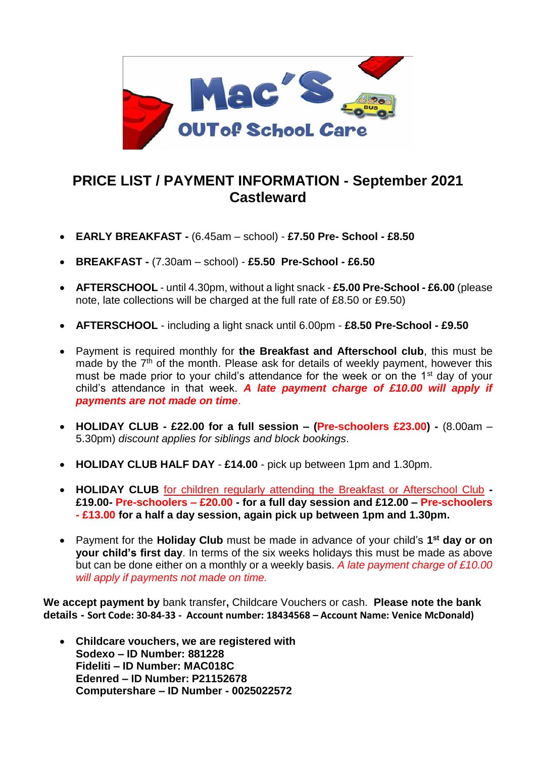

## **PRICE LIST / PAYMENT INFORMATION - September 2021 Castleward**

- **EARLY BREAKFAST -** (6.45am school) **£7.50 Pre- School - £8.50**
- **BREAKFAST -** (7.30am school) **£5.50 Pre-School - £6.50**
- **AFTERSCHOOL** until 4.30pm, without a light snack **£5.00 Pre-School - £6.00** (please note, late collections will be charged at the full rate of £8.50 or £9.50)
- **AFTERSCHOOL** including a light snack until 6.00pm **£8.50 Pre-School - £9.50**
- Payment is required monthly for **the Breakfast and Afterschool club**, this must be made by the  $7<sup>th</sup>$  of the month. Please ask for details of weekly payment, however this must be made prior to your child's attendance for the week or on the 1<sup>st</sup> day of your child's attendance in that week. *A late payment charge of £10.00 will apply if payments are not made on time*.
- **HOLIDAY CLUB - £22.00 for a full session – (Pre-schoolers £23.00) -** (8.00am 5.30pm) *discount applies for siblings and block bookings*.
- **HOLIDAY CLUB HALF DAY £14.00** pick up between 1pm and 1.30pm.
- **HOLIDAY CLUB** for children regularly attending the Breakfast or Afterschool Club **- £19.00- Pre-schoolers – £20.00 - for a full day session and £12.00 – Pre-schoolers - £13.00 for a half a day session, again pick up between 1pm and 1.30pm.**
- Payment for the **Holiday Club** must be made in advance of your child's 1<sup>st</sup> day or on **your child's first day**. In terms of the six weeks holidays this must be made as above but can be done either on a monthly or a weekly basis. *A late payment charge of £10.00 will apply if payments not made on time.*

**We accept payment by** bank transfer**,** Childcare Vouchers or cash. **Please note the bank details - Sort Code: 30-84-33 - Account number: 18434568 – Account Name: Venice McDonald)**

• **Childcare vouchers, we are registered with Sodexo – ID Number: 881228 Fideliti – ID Number: MAC018C Edenred – ID Number: P21152678 Computershare – ID Number - 0025022572**